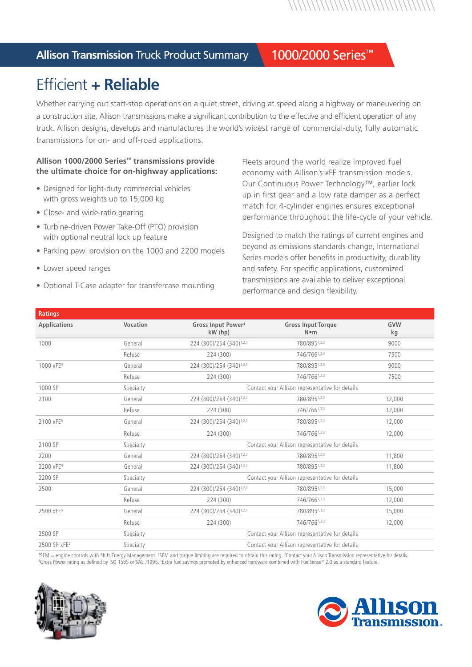*\\\\\\\\\\\\\\\\\\\\\\\\\\\\\* 

### **Allison Transmission** Truck Product Summary 1000/2000 Series™

# Efficient **+ Reliable**

Whether carrying out start-stop operations on a quiet street, driving at speed along a highway or maneuvering on a construction site, Allison transmissions make a significant contribution to the effective and efficient operation of any truck. Allison designs, develops and manufactures the world's widest range of commercial-duty, fully automatic transmissions for on- and off-road applications.

#### **Allison 1000/2000 Series™ transmissions provide the ultimate choice for on-highway applications:**

- Designed for light-duty commercial vehicles with gross weights up to 15,000 kg
- Close- and wide-ratio gearing
- Turbine-driven Power Take-Off (PTO) provision with optional neutral lock up feature
- Parking pawl provision on the 1000 and 2200 models
- Lower speed ranges
- Optional T-Case adapter for transfercase mounting

Fleets around the world realize improved fuel economy with Allison's xFE transmission models. Our Continuous Power Technology™, earlier lock up in first gear and a low rate damper as a perfect match for 4-cylinder engines ensures exceptional performance throughout the life-cycle of your vehicle.

Designed to match the ratings of current engines and beyond as emissions standards change, International Series models offer benefits in productivity, durability and safety. For specific applications, customized transmissions are available to deliver exceptional performance and design flexibility.

| GVW<br>kg                                       |  |  |  |
|-------------------------------------------------|--|--|--|
|                                                 |  |  |  |
| 9000                                            |  |  |  |
| 7500                                            |  |  |  |
| 9000                                            |  |  |  |
| 7500                                            |  |  |  |
|                                                 |  |  |  |
| 12,000                                          |  |  |  |
| 12,000                                          |  |  |  |
| 12,000                                          |  |  |  |
| 12,000                                          |  |  |  |
| Contact your Allison representative for details |  |  |  |
| 11,800                                          |  |  |  |
| 11,800                                          |  |  |  |
|                                                 |  |  |  |
| 15,000                                          |  |  |  |
| 12,000                                          |  |  |  |
| 15,000                                          |  |  |  |
| 12,000                                          |  |  |  |
| Contact your Allison representative for details |  |  |  |
| Contact your Allison representative for details |  |  |  |
|                                                 |  |  |  |

<sup>1</sup>SEM = engine controls with Shift Energy Management. <sup>2</sup>SEM and torque limiting are required to obtain this rating. <sup>3</sup>Contact your Allison Transmission representative for details.<br><sup>4</sup>Gross Power rating as defined by IS Gross Power rating as defined by ISO 1585 or SAE J1995. <sup>5</sup>Extra fuel savings promoted by enhanced hardware combined with FuelSense® 2.0 as a standard feature.